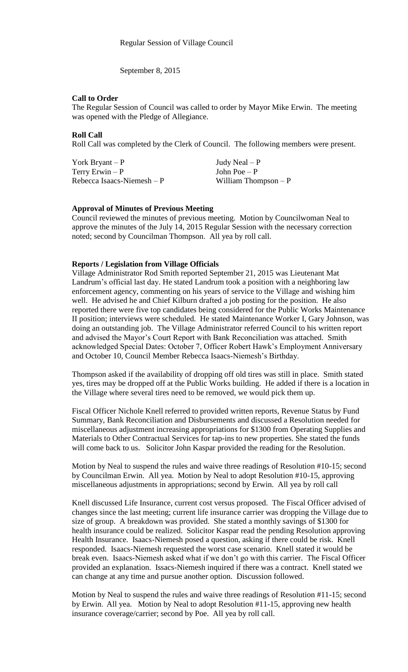September 8, 2015

#### **Call to Order**

The Regular Session of Council was called to order by Mayor Mike Erwin. The meeting was opened with the Pledge of Allegiance.

### **Roll Call**

Roll Call was completed by the Clerk of Council. The following members were present.

| York Bryant $-P$            | Judy Neal $- P$       |
|-----------------------------|-----------------------|
| Terry Erwin $-P$            | John Poe $-P$         |
| Rebecca Isaacs-Niemesh $-P$ | William Thompson $-P$ |

#### **Approval of Minutes of Previous Meeting**

Council reviewed the minutes of previous meeting. Motion by Councilwoman Neal to approve the minutes of the July 14, 2015 Regular Session with the necessary correction noted; second by Councilman Thompson. All yea by roll call.

#### **Reports / Legislation from Village Officials**

Village Administrator Rod Smith reported September 21, 2015 was Lieutenant Mat Landrum's official last day. He stated Landrum took a position with a neighboring law enforcement agency, commenting on his years of service to the Village and wishing him well. He advised he and Chief Kilburn drafted a job posting for the position. He also reported there were five top candidates being considered for the Public Works Maintenance II position; interviews were scheduled. He stated Maintenance Worker I, Gary Johnson, was doing an outstanding job. The Village Administrator referred Council to his written report and advised the Mayor's Court Report with Bank Reconciliation was attached. Smith acknowledged Special Dates: October 7, Officer Robert Hawk's Employment Anniversary and October 10, Council Member Rebecca Isaacs-Niemesh's Birthday.

Thompson asked if the availability of dropping off old tires was still in place. Smith stated yes, tires may be dropped off at the Public Works building. He added if there is a location in the Village where several tires need to be removed, we would pick them up.

Fiscal Officer Nichole Knell referred to provided written reports, Revenue Status by Fund Summary, Bank Reconciliation and Disbursements and discussed a Resolution needed for miscellaneous adjustment increasing appropriations for \$1300 from Operating Supplies and Materials to Other Contractual Services for tap-ins to new properties. She stated the funds will come back to us. Solicitor John Kaspar provided the reading for the Resolution.

Motion by Neal to suspend the rules and waive three readings of Resolution #10-15; second by Councilman Erwin. All yea. Motion by Neal to adopt Resolution #10-15, approving miscellaneous adjustments in appropriations; second by Erwin. All yea by roll call

Knell discussed Life Insurance, current cost versus proposed. The Fiscal Officer advised of changes since the last meeting; current life insurance carrier was dropping the Village due to size of group. A breakdown was provided. She stated a monthly savings of \$1300 for health insurance could be realized. Solicitor Kaspar read the pending Resolution approving Health Insurance. Isaacs-Niemesh posed a question, asking if there could be risk. Knell responded. Isaacs-Niemesh requested the worst case scenario. Knell stated it would be break even. Isaacs-Niemesh asked what if we don't go with this carrier. The Fiscal Officer provided an explanation. Issacs-Niemesh inquired if there was a contract. Knell stated we can change at any time and pursue another option. Discussion followed.

Motion by Neal to suspend the rules and waive three readings of Resolution #11-15; second by Erwin. All yea. Motion by Neal to adopt Resolution #11-15, approving new health insurance coverage/carrier; second by Poe. All yea by roll call.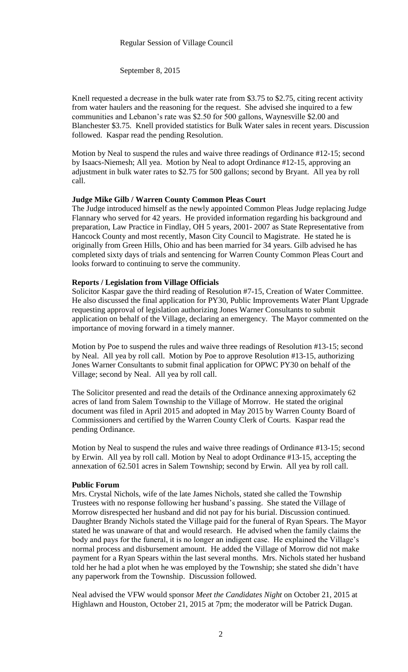#### Regular Session of Village Council

September 8, 2015

Knell requested a decrease in the bulk water rate from \$3.75 to \$2.75, citing recent activity from water haulers and the reasoning for the request. She advised she inquired to a few communities and Lebanon's rate was \$2.50 for 500 gallons, Waynesville \$2.00 and Blanchester \$3.75. Knell provided statistics for Bulk Water sales in recent years. Discussion followed. Kaspar read the pending Resolution.

Motion by Neal to suspend the rules and waive three readings of Ordinance #12-15; second by Isaacs-Niemesh; All yea. Motion by Neal to adopt Ordinance #12-15, approving an adjustment in bulk water rates to \$2.75 for 500 gallons; second by Bryant. All yea by roll call.

## **Judge Mike Gilb / Warren County Common Pleas Court**

The Judge introduced himself as the newly appointed Common Pleas Judge replacing Judge Flannary who served for 42 years. He provided information regarding his background and preparation, Law Practice in Findlay, OH 5 years, 2001- 2007 as State Representative from Hancock County and most recently, Mason City Council to Magistrate. He stated he is originally from Green Hills, Ohio and has been married for 34 years. Gilb advised he has completed sixty days of trials and sentencing for Warren County Common Pleas Court and looks forward to continuing to serve the community.

### **Reports / Legislation from Village Officials**

Solicitor Kaspar gave the third reading of Resolution #7-15, Creation of Water Committee. He also discussed the final application for PY30, Public Improvements Water Plant Upgrade requesting approval of legislation authorizing Jones Warner Consultants to submit application on behalf of the Village, declaring an emergency. The Mayor commented on the importance of moving forward in a timely manner.

Motion by Poe to suspend the rules and waive three readings of Resolution #13-15; second by Neal. All yea by roll call. Motion by Poe to approve Resolution #13-15, authorizing Jones Warner Consultants to submit final application for OPWC PY30 on behalf of the Village; second by Neal. All yea by roll call.

The Solicitor presented and read the details of the Ordinance annexing approximately 62 acres of land from Salem Township to the Village of Morrow. He stated the original document was filed in April 2015 and adopted in May 2015 by Warren County Board of Commissioners and certified by the Warren County Clerk of Courts. Kaspar read the pending Ordinance.

Motion by Neal to suspend the rules and waive three readings of Ordinance #13-15; second by Erwin. All yea by roll call. Motion by Neal to adopt Ordinance #13-15, accepting the annexation of 62.501 acres in Salem Township; second by Erwin. All yea by roll call.

#### **Public Forum**

Mrs. Crystal Nichols, wife of the late James Nichols, stated she called the Township Trustees with no response following her husband's passing. She stated the Village of Morrow disrespected her husband and did not pay for his burial. Discussion continued. Daughter Brandy Nichols stated the Village paid for the funeral of Ryan Spears. The Mayor stated he was unaware of that and would research. He advised when the family claims the body and pays for the funeral, it is no longer an indigent case. He explained the Village's normal process and disbursement amount. He added the Village of Morrow did not make payment for a Ryan Spears within the last several months. Mrs. Nichols stated her husband told her he had a plot when he was employed by the Township; she stated she didn't have any paperwork from the Township. Discussion followed.

Neal advised the VFW would sponsor *Meet the Candidates Night* on October 21, 2015 at Highlawn and Houston, October 21, 2015 at 7pm; the moderator will be Patrick Dugan.